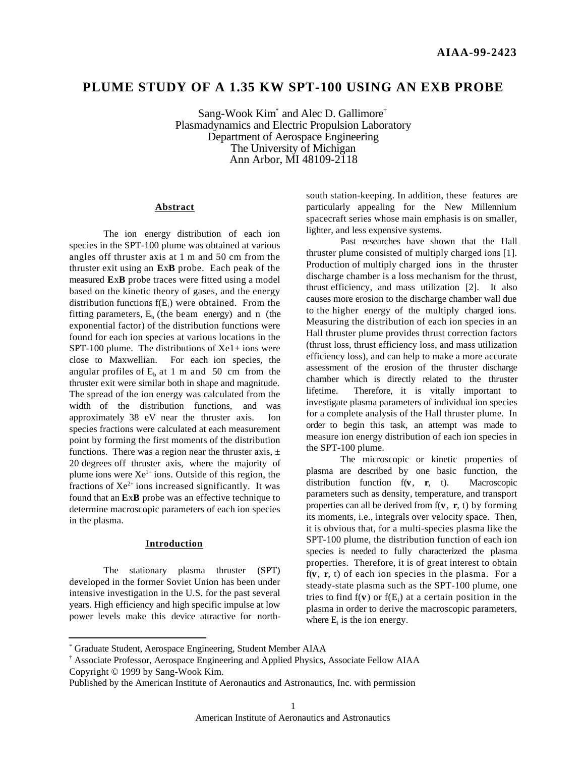# **PLUME STUDY OF A 1.35 KW SPT-100 USING AN EXB PROBE**

Sang-Wook Kim<sup>\*</sup> and Alec D. Gallimore<sup>†</sup> Plasmadynamics and Electric Propulsion Laboratory Department of Aerospace Engineering The University of Michigan Ann Arbor, MI 48109-2118

### **Abstract**

The ion energy distribution of each ion species in the SPT-100 plume was obtained at various angles off thruster axis at 1 m and 50 cm from the thruster exit using an **E**x**B** probe. Each peak of the measured **E**x**B** probe traces were fitted using a model based on the kinetic theory of gases, and the energy distribution functions  $f(E_i)$  were obtained. From the fitting parameters,  $E<sub>b</sub>$  (the beam energy) and n (the exponential factor) of the distribution functions were found for each ion species at various locations in the SPT-100 plume. The distributions of  $Xe1+$  ions were close to Maxwellian. For each ion species, the angular profiles of  $E<sub>b</sub>$  at 1 m and 50 cm from the thruster exit were similar both in shape and magnitude. The spread of the ion energy was calculated from the width of the distribution functions, and was approximately 38 eV near the thruster axis. Ion species fractions were calculated at each measurement point by forming the first moments of the distribution functions. There was a region near the thruster axis,  $\pm$ 20 degrees off thruster axis, where the majority of plume ions were  $Xe^{1+}$  ions. Outside of this region, the fractions of  $Xe^{2+}$  ions increased significantly. It was found that an **E**x**B** probe was an effective technique to determine macroscopic parameters of each ion species in the plasma.

### **Introduction**

The stationary plasma thruster (SPT) developed in the former Soviet Union has been under intensive investigation in the U.S. for the past several years. High efficiency and high specific impulse at low power levels make this device attractive for north-

1

south station-keeping. In addition, these features are particularly appealing for the New Millennium spacecraft series whose main emphasis is on smaller, lighter, and less expensive systems.

Past researches have shown that the Hall thruster plume consisted of multiply charged ions [1]. Production of multiply charged ions in the thruster discharge chamber is a loss mechanism for the thrust, thrust efficiency, and mass utilization [2]. It also causes more erosion to the discharge chamber wall due to the higher energy of the multiply charged ions. Measuring the distribution of each ion species in an Hall thruster plume provides thrust correction factors (thrust loss, thrust efficiency loss, and mass utilization efficiency loss), and can help to make a more accurate assessment of the erosion of the thruster discharge chamber which is directly related to the thruster lifetime. Therefore, it is vitally important to investigate plasma parameters of individual ion species for a complete analysis of the Hall thruster plume. In order to begin this task, an attempt was made to measure ion energy distribution of each ion species in the SPT-100 plume.

The microscopic or kinetic properties of plasma are described by one basic function, the distribution function f(**v**, **r**, t). Macroscopic parameters such as density, temperature, and transport properties can all be derived from f(**v**, **r**, t) by forming its moments, i.e., integrals over velocity space. Then, it is obvious that, for a multi-species plasma like the SPT-100 plume, the distribution function of each ion species is needed to fully characterized the plasma properties. Therefore, it is of great interest to obtain f(**v**, **r**, t) of each ion species in the plasma. For a steady-state plasma such as the SPT-100 plume, one tries to find  $f(v)$  or  $f(E_i)$  at a certain position in the plasma in order to derive the macroscopic parameters, where  $E_i$  is the ion energy.

<sup>\*</sup> Graduate Student, Aerospace Engineering, Student Member AIAA

<sup>†</sup> Associate Professor, Aerospace Engineering and Applied Physics, Associate Fellow AIAA Copyright © 1999 by Sang-Wook Kim.

Published by the American Institute of Aeronautics and Astronautics, Inc. with permission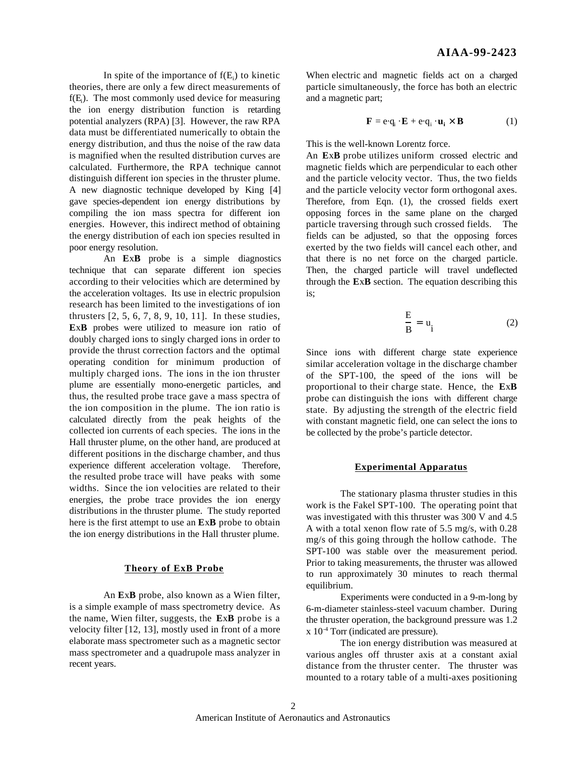In spite of the importance of  $f(E_i)$  to kinetic theories, there are only a few direct measurements of f(E<sub>i</sub>). The most commonly used device for measuring the ion energy distribution function is retarding potential analyzers (RPA) [3]. However, the raw RPA data must be differentiated numerically to obtain the energy distribution, and thus the noise of the raw data is magnified when the resulted distribution curves are calculated. Furthermore, the RPA technique cannot distinguish different ion species in the thruster plume. A new diagnostic technique developed by King [4] gave species-dependent ion energy distributions by compiling the ion mass spectra for different ion energies. However, this indirect method of obtaining the energy distribution of each ion species resulted in poor energy resolution.

An **E**x**B** probe is a simple diagnostics technique that can separate different ion species according to their velocities which are determined by the acceleration voltages. Its use in electric propulsion research has been limited to the investigations of ion thrusters [2, 5, 6, 7, 8, 9, 10, 11]. In these studies, **E**x**B** probes were utilized to measure ion ratio of doubly charged ions to singly charged ions in order to provide the thrust correction factors and the optimal operating condition for minimum production of multiply charged ions. The ions in the ion thruster plume are essentially mono-energetic particles, and thus, the resulted probe trace gave a mass spectra of the ion composition in the plume. The ion ratio is calculated directly from the peak heights of the collected ion currents of each species. The ions in the Hall thruster plume, on the other hand, are produced at different positions in the discharge chamber, and thus experience different acceleration voltage. Therefore, the resulted probe trace will have peaks with some widths. Since the ion velocities are related to their energies, the probe trace provides the ion energy distributions in the thruster plume. The study reported here is the first attempt to use an **E**x**B** probe to obtain the ion energy distributions in the Hall thruster plume.

### **Theory of ExB Probe**

An **E**x**B** probe, also known as a Wien filter, is a simple example of mass spectrometry device. As the name, Wien filter, suggests, the **E**x**B** probe is a velocity filter [12, 13], mostly used in front of a more elaborate mass spectrometer such as a magnetic sector mass spectrometer and a quadrupole mass analyzer in recent years.

When electric and magnetic fields act on a charged particle simultaneously, the force has both an electric and a magnetic part;

$$
\mathbf{F} = e \cdot q_i \cdot \mathbf{E} + e \cdot q_i \cdot \mathbf{u}_i \times \mathbf{B}
$$
 (1)

This is the well-known Lorentz force.

An **E**x**B** probe utilizes uniform crossed electric and magnetic fields which are perpendicular to each other and the particle velocity vector. Thus, the two fields and the particle velocity vector form orthogonal axes. Therefore, from Eqn. (1), the crossed fields exert opposing forces in the same plane on the charged particle traversing through such crossed fields. The fields can be adjusted, so that the opposing forces exerted by the two fields will cancel each other, and that there is no net force on the charged particle. Then, the charged particle will travel undeflected through the **E**x**B** section. The equation describing this is;

$$
\frac{E}{B} = u_i
$$
 (2)

Since ions with different charge state experience similar acceleration voltage in the discharge chamber of the SPT-100, the speed of the ions will be proportional to their charge state. Hence, the **E**x**B** probe can distinguish the ions with different charge state. By adjusting the strength of the electric field with constant magnetic field, one can select the ions to be collected by the probe's particle detector.

# **Experimental Apparatus**

The stationary plasma thruster studies in this work is the Fakel SPT-100. The operating point that was investigated with this thruster was 300 V and 4.5 A with a total xenon flow rate of 5.5 mg/s, with 0.28 mg/s of this going through the hollow cathode. The SPT-100 was stable over the measurement period. Prior to taking measurements, the thruster was allowed to run approximately 30 minutes to reach thermal equilibrium.

Experiments were conducted in a 9-m-long by 6-m-diameter stainless-steel vacuum chamber. During the thruster operation, the background pressure was 1.2  $x 10^{-4}$  Torr (indicated are pressure).

The ion energy distribution was measured at various angles off thruster axis at a constant axial distance from the thruster center. The thruster was mounted to a rotary table of a multi-axes positioning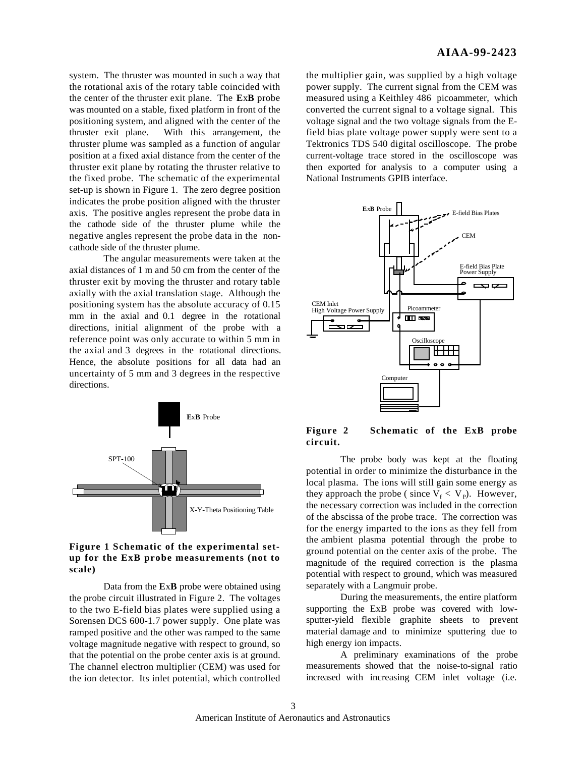system. The thruster was mounted in such a way that the rotational axis of the rotary table coincided with the center of the thruster exit plane. The **E**x**B** probe was mounted on a stable, fixed platform in front of the positioning system, and aligned with the center of the thruster exit plane. With this arrangement, the thruster plume was sampled as a function of angular position at a fixed axial distance from the center of the thruster exit plane by rotating the thruster relative to the fixed probe. The schematic of the experimental set-up is shown in Figure 1. The zero degree position indicates the probe position aligned with the thruster axis. The positive angles represent the probe data in the cathode side of the thruster plume while the negative angles represent the probe data in the noncathode side of the thruster plume.

The angular measurements were taken at the axial distances of 1 m and 50 cm from the center of the thruster exit by moving the thruster and rotary table axially with the axial translation stage. Although the positioning system has the absolute accuracy of 0.15 mm in the axial and 0.1 degree in the rotational directions, initial alignment of the probe with a reference point was only accurate to within 5 mm in the axial and 3 degrees in the rotational directions. Hence, the absolute positions for all data had an uncertainty of 5 mm and 3 degrees in the respective directions.



**Figure 1 Schematic of the experimental setup for the ExB probe measurements (not to scale)**

Data from the **E**x**B** probe were obtained using the probe circuit illustrated in Figure 2. The voltages to the two E-field bias plates were supplied using a Sorensen DCS 600-1.7 power supply. One plate was ramped positive and the other was ramped to the same voltage magnitude negative with respect to ground, so that the potential on the probe center axis is at ground. The channel electron multiplier (CEM) was used for the ion detector. Its inlet potential, which controlled

the multiplier gain, was supplied by a high voltage power supply. The current signal from the CEM was measured using a Keithley 486 picoammeter, which converted the current signal to a voltage signal. This voltage signal and the two voltage signals from the Efield bias plate voltage power supply were sent to a Tektronics TDS 540 digital oscilloscope. The probe current-voltage trace stored in the oscilloscope was then exported for analysis to a computer using a National Instruments GPIB interface.



**Figure 2 Schematic of the ExB probe circuit.**

The probe body was kept at the floating potential in order to minimize the disturbance in the local plasma. The ions will still gain some energy as they approach the probe (since  $V_f < V_p$ ). However, the necessary correction was included in the correction of the abscissa of the probe trace. The correction was for the energy imparted to the ions as they fell from the ambient plasma potential through the probe to ground potential on the center axis of the probe. The magnitude of the required correction is the plasma potential with respect to ground, which was measured separately with a Langmuir probe.

During the measurements, the entire platform supporting the ExB probe was covered with lowsputter-yield flexible graphite sheets to prevent material damage and to minimize sputtering due to high energy ion impacts.

A preliminary examinations of the probe measurements showed that the noise-to-signal ratio increased with increasing CEM inlet voltage (i.e.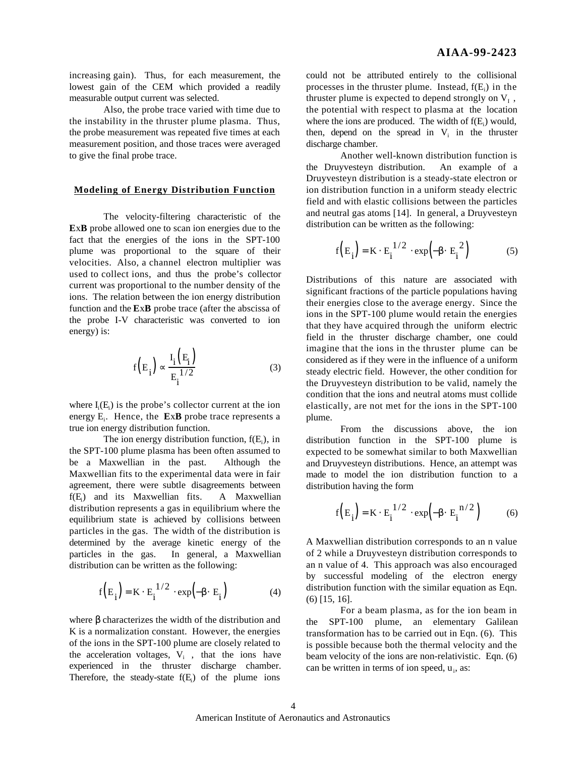increasing gain). Thus, for each measurement, the lowest gain of the CEM which provided a readily measurable output current was selected.

Also, the probe trace varied with time due to the instability in the thruster plume plasma. Thus, the probe measurement was repeated five times at each measurement position, and those traces were averaged to give the final probe trace.

# **Modeling of Energy Distribution Function**

The velocity-filtering characteristic of the **E**x**B** probe allowed one to scan ion energies due to the fact that the energies of the ions in the SPT-100 plume was proportional to the square of their velocities. Also, a channel electron multiplier was used to collect ions, and thus the probe's collector current was proportional to the number density of the ions. The relation between the ion energy distribution function and the **E**x**B** probe trace (after the abscissa of the probe I-V characteristic was converted to ion energy) is:

$$
f\left(E_i\right) \quad \frac{I_i\left(E_i\right)}{E_i^{1/2}} \tag{3}
$$

where  $I_i(E_i)$  is the probe's collector current at the ion energy E<sub>i</sub>. Hence, the **ExB** probe trace represents a true ion energy distribution function.

The ion energy distribution function,  $f(E_i)$ , in the SPT-100 plume plasma has been often assumed to be a Maxwellian in the past. Although the Maxwellian fits to the experimental data were in fair agreement, there were subtle disagreements between  $f(E_i)$  and its Maxwellian fits. A Maxwellian distribution represents a gas in equilibrium where the equilibrium state is achieved by collisions between particles in the gas. The width of the distribution is determined by the average kinetic energy of the particles in the gas. In general, a Maxwellian distribution can be written as the following:

$$
f(E_i) = K E_i^{1/2} exp(-E_i)
$$
 (4)

where characterizes the width of the distribution and K is a normalization constant. However, the energies of the ions in the SPT-100 plume are closely related to the acceleration voltages,  $V_i$ , that the ions have experienced in the thruster discharge chamber. Therefore, the steady-state  $f(E_i)$  of the plume ions

could not be attributed entirely to the collisional processes in the thruster plume. Instead,  $f(E_i)$  in the thruster plume is expected to depend strongly on  $V_I$ , the potential with respect to plasma at the location where the ions are produced. The width of  $f(E_i)$  would, then, depend on the spread in  $V_i$  in the thruster discharge chamber.

Another well-known distribution function is the Druyvesteyn distribution. An example of a Druyvesteyn distribution is a steady-state electron or ion distribution function in a uniform steady electric field and with elastic collisions between the particles and neutral gas atoms [14]. In general, a Druyvesteyn distribution can be written as the following:

$$
f(E_i) = K E_i^{1/2} exp(-E_i^2)
$$
 (5)

Distributions of this nature are associated with significant fractions of the particle populations having their energies close to the average energy. Since the ions in the SPT-100 plume would retain the energies that they have acquired through the uniform electric field in the thruster discharge chamber, one could imagine that the ions in the thruster plume can be considered as if they were in the influence of a uniform steady electric field. However, the other condition for the Druyvesteyn distribution to be valid, namely the condition that the ions and neutral atoms must collide elastically, are not met for the ions in the SPT-100 plume.

From the discussions above, the ion distribution function in the SPT-100 plume is expected to be somewhat similar to both Maxwellian and Druyvesteyn distributions. Hence, an attempt was made to model the ion distribution function to a distribution having the form

$$
f(E_i) = K E_i^{1/2} exp(-E_i^{n/2})
$$
 (6)

A Maxwellian distribution corresponds to an n value of 2 while a Druyvesteyn distribution corresponds to an n value of 4. This approach was also encouraged by successful modeling of the electron energy distribution function with the similar equation as Eqn. (6) [15, 16].

For a beam plasma, as for the ion beam in the SPT-100 plume, an elementary Galilean transformation has to be carried out in Eqn. (6). This is possible because both the thermal velocity and the beam velocity of the ions are non-relativistic. Eqn. (6) can be written in terms of ion speed,  $u_i$ , as: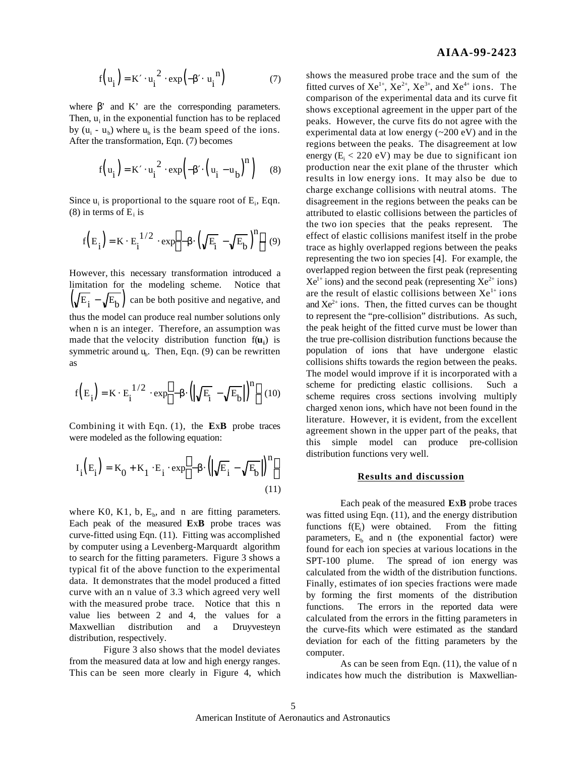$$
f(u_i) = K u_i^2 exp(-u_i^n)
$$
 (7)

where ' and K' are the corresponding parameters. Then,  $u_i$  in the exponential function has to be replaced by  $(u_i - u_b)$  where  $u_b$  is the beam speed of the ions. After the transformation, Eqn. (7) becomes

$$
f(u_i) = K \quad u_i^2 \quad \exp\left(-\left(u_i - u_b\right)^n\right) \tag{8}
$$

Since  $u_i$  is proportional to the square root of  $E_i$ , Eqn. (8) in terms of  $E_i$  is

$$
f(E_i) = K E_i^{1/2} exp - (\sqrt{E_i} - \sqrt{E_b})^n
$$
 (9)

However, this necessary transformation introduced a limitation for the modeling scheme. Notice that  $(\sqrt{E}_i - \sqrt{E}_b)$  can be both positive and negative, and thus the model can produce real number solutions only when n is an integer. Therefore, an assumption was made that the velocity distribution function f(**u<sup>i</sup>** ) is symmetric around  $u_b$ . Then, Eqn. (9) can be rewritten as

$$
f\left(E_i\right) = K \ E_i^{1/2} \ exp \ - \ \left(\sqrt{E_i} - \sqrt{E_b}\right)^n \quad (10)
$$

Combining it with Eqn. (1), the **E**x**B** probe traces were modeled as the following equation:

$$
I_{i}(E_{i}) = K_{0} + K_{1} E_{i} \exp - \left(\sqrt{E_{i}} - \sqrt{E_{b}}\right)^{n}
$$
\n(11)

where K0, K1, b,  $E_b$ , and n are fitting parameters. Each peak of the measured **E**x**B** probe traces was curve-fitted using Eqn. (11). Fitting was accomplished by computer using a Levenberg-Marquardt algorithm to search for the fitting parameters. Figure 3 shows a typical fit of the above function to the experimental data. It demonstrates that the model produced a fitted curve with an n value of 3.3 which agreed very well with the measured probe trace. Notice that this n value lies between 2 and 4, the values for a Maxwellian distribution and a Druyvesteyn distribution, respectively.

Figure 3 also shows that the model deviates from the measured data at low and high energy ranges. This can be seen more clearly in Figure 4, which shows the measured probe trace and the sum of the fitted curves of  $Xe^{1+}$ ,  $Xe^{2+}$ ,  $Xe^{3+}$ , and  $Xe^{4+}$  ions. The comparison of the experimental data and its curve fit shows exceptional agreement in the upper part of the peaks. However, the curve fits do not agree with the experimental data at low energy  $(\sim 200 \text{ eV})$  and in the regions between the peaks. The disagreement at low energy ( $E_i < 220$  eV) may be due to significant ion production near the exit plane of the thruster which results in low energy ions. It may also be due to charge exchange collisions with neutral atoms. The disagreement in the regions between the peaks can be attributed to elastic collisions between the particles of the two ion species that the peaks represent. The effect of elastic collisions manifest itself in the probe trace as highly overlapped regions between the peaks representing the two ion species [4]. For example, the overlapped region between the first peak (representing  $Xe^{1+}$  ions) and the second peak (representing  $Xe^{2+}$  ions) are the result of elastic collisions between  $Xe^{1+}$  ions and  $Xe^{2+}$  ions. Then, the fitted curves can be thought to represent the "pre-collision" distributions. As such, the peak height of the fitted curve must be lower than the true pre-collision distribution functions because the population of ions that have undergone elastic collisions shifts towards the region between the peaks. The model would improve if it is incorporated with a scheme for predicting elastic collisions. Such a scheme requires cross sections involving multiply charged xenon ions, which have not been found in the literature. However, it is evident, from the excellent agreement shown in the upper part of the peaks, that this simple model can produce pre-collision distribution functions very well.

#### **Results and discussion**

Each peak of the measured **E**x**B** probe traces was fitted using Eqn. (11), and the energy distribution functions  $f(E_i)$  were obtained. From the fitting. parameters,  $E<sub>b</sub>$  and n (the exponential factor) were found for each ion species at various locations in the SPT-100 plume. The spread of ion energy was calculated from the width of the distribution functions. Finally, estimates of ion species fractions were made by forming the first moments of the distribution functions. The errors in the reported data were calculated from the errors in the fitting parameters in the curve-fits which were estimated as the standard deviation for each of the fitting parameters by the computer.

As can be seen from Eqn. (11), the value of n indicates how much the distribution is Maxwellian-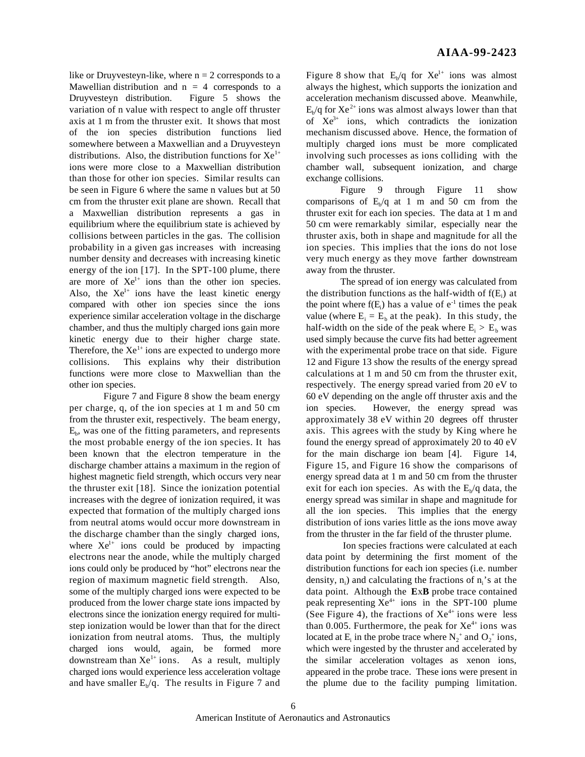like or Druyvesteyn-like, where  $n = 2$  corresponds to a Mawellian distribution and  $n = 4$  corresponds to a Druyvesteyn distribution. Figure 5 shows the variation of n value with respect to angle off thruster axis at 1 m from the thruster exit. It shows that most of the ion species distribution functions lied somewhere between a Maxwellian and a Druyvesteyn distributions. Also, the distribution functions for  $Xe^{1+}$ ions were more close to a Maxwellian distribution than those for other ion species. Similar results can be seen in Figure 6 where the same n values but at 50 cm from the thruster exit plane are shown. Recall that a Maxwellian distribution represents a gas in equilibrium where the equilibrium state is achieved by collisions between particles in the gas. The collision probability in a given gas increases with increasing number density and decreases with increasing kinetic energy of the ion [17]. In the SPT-100 plume, there are more of  $Xe^{1+}$  ions than the other ion species. Also, the  $Xe^{1+}$  ions have the least kinetic energy compared with other ion species since the ions experience similar acceleration voltage in the discharge chamber, and thus the multiply charged ions gain more kinetic energy due to their higher charge state. Therefore, the  $Xe^{1+}$  ions are expected to undergo more collisions. This explains why their distribution functions were more close to Maxwellian than the other ion species.

Figure 7 and Figure 8 show the beam energy per charge, q, of the ion species at 1 m and 50 cm from the thruster exit, respectively. The beam energy,  $E<sub>b</sub>$ , was one of the fitting parameters, and represents the most probable energy of the ion species. It has been known that the electron temperature in the discharge chamber attains a maximum in the region of highest magnetic field strength, which occurs very near the thruster exit [18]. Since the ionization potential increases with the degree of ionization required, it was expected that formation of the multiply charged ions from neutral atoms would occur more downstream in the discharge chamber than the singly charged ions, where  $Xe^{1+}$  ions could be produced by impacting electrons near the anode, while the multiply charged ions could only be produced by "hot" electrons near the region of maximum magnetic field strength. Also, some of the multiply charged ions were expected to be produced from the lower charge state ions impacted by electrons since the ionization energy required for multistep ionization would be lower than that for the direct ionization from neutral atoms. Thus, the multiply charged ions would, again, be formed more downstream than  $Xe^{1+}$  ions. As a result, multiply charged ions would experience less acceleration voltage and have smaller  $E_b/q$ . The results in Figure 7 and

Figure 8 show that  $E_b/q$  for  $Xe^{1+}$  ions was almost always the highest, which supports the ionization and acceleration mechanism discussed above. Meanwhile,  $E_{b}/q$  for  $Xe^{2+}$  ions was almost always lower than that of  $Xe^{3+}$  ions, which contradicts the ionization mechanism discussed above. Hence, the formation of multiply charged ions must be more complicated involving such processes as ions colliding with the chamber wall, subsequent ionization, and charge exchange collisions.

Figure 9 through Figure 11 show comparisons of  $E_b/q$  at 1 m and 50 cm from the thruster exit for each ion species. The data at 1 m and 50 cm were remarkably similar, especially near the thruster axis, both in shape and magnitude for all the ion species. This implies that the ions do not lose very much energy as they move farther downstream away from the thruster.

The spread of ion energy was calculated from the distribution functions as the half-width of  $f(E_i)$  at the point where  $f(E_i)$  has a value of  $e^{-1}$  times the peak value (where  $E_i = E_b$  at the peak). In this study, the half-width on the side of the peak where  $E_i > E_b$  was used simply because the curve fits had better agreement with the experimental probe trace on that side. Figure 12 and Figure 13 show the results of the energy spread calculations at 1 m and 50 cm from the thruster exit, respectively. The energy spread varied from 20 eV to 60 eV depending on the angle off thruster axis and the ion species. However, the energy spread was approximately 38 eV within 20 degrees off thruster axis. This agrees with the study by King where he found the energy spread of approximately 20 to 40 eV for the main discharge ion beam [4]. Figure 14, Figure 15, and Figure 16 show the comparisons of energy spread data at 1 m and 50 cm from the thruster exit for each ion species. As with the  $E_b/q$  data, the energy spread was similar in shape and magnitude for all the ion species. This implies that the energy distribution of ions varies little as the ions move away from the thruster in the far field of the thruster plume.

 Ion species fractions were calculated at each data point by determining the first moment of the distribution functions for each ion species (i.e. number density,  $n_i$ ) and calculating the fractions of  $n_i$ 's at the data point. Although the **E**x**B** probe trace contained peak representing  $Xe^{4+}$  ions in the SPT-100 plume (See Figure 4), the fractions of  $Xe^{4+}$  ions were less than 0.005. Furthermore, the peak for  $Xe^{4+}$  ions was located at  $E_i$  in the probe trace where  $N_2^+$  and  $O_2^+$  ions, which were ingested by the thruster and accelerated by the similar acceleration voltages as xenon ions, appeared in the probe trace. These ions were present in the plume due to the facility pumping limitation.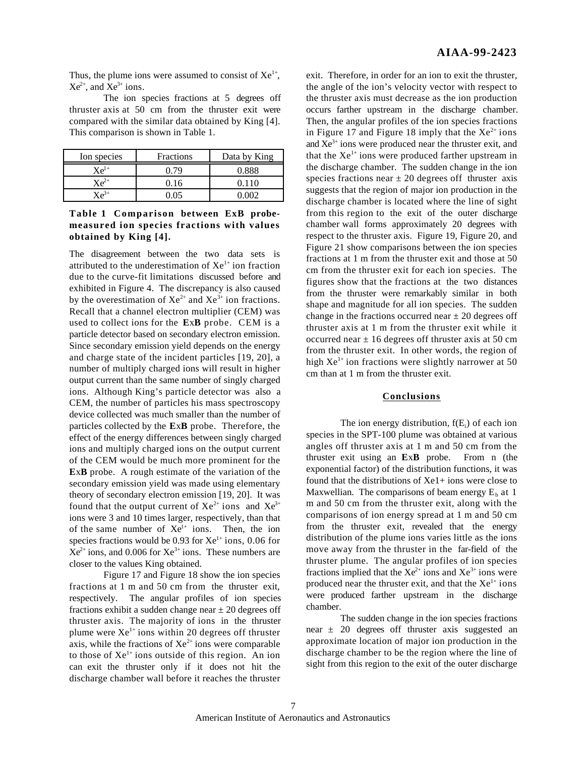Thus, the plume ions were assumed to consist of  $Xe^{1+}$ ,  $Xe^{2+}$ , and  $Xe^{3+}$  ions.

The ion species fractions at 5 degrees off thruster axis at 50 cm from the thruster exit were compared with the similar data obtained by King [4]. This comparison is shown in Table 1.

| Ion species                  | <b>Fractions</b> | Data by King |
|------------------------------|------------------|--------------|
| $\mathbf{Y} \mathbf{e}^{1+}$ | 179              | 0.888        |
| $Xe^{2+}$                    | 0.16             | ገ 11በ        |
| $\mathcal{L}^{\mathbf{3+}}$  | ነ በና             |              |

# **Table 1 Comparison between ExB probemeasured ion species fractions with values obtained by King [4].**

The disagreement between the two data sets is attributed to the underestimation of  $Xe^{1+}$  ion fraction due to the curve-fit limitations discussed before and exhibited in Figure 4. The discrepancy is also caused by the overestimation of  $Xe^{2+}$  and  $Xe^{3+}$  ion fractions. Recall that a channel electron multiplier (CEM) was used to collect ions for the **E**x**B** probe. CEM is a particle detector based on secondary electron emission. Since secondary emission yield depends on the energy and charge state of the incident particles [19, 20], a number of multiply charged ions will result in higher output current than the same number of singly charged ions. Although King's particle detector was also a CEM, the number of particles his mass spectroscopy device collected was much smaller than the number of particles collected by the **E**x**B** probe. Therefore, the effect of the energy differences between singly charged ions and multiply charged ions on the output current of the CEM would be much more prominent for the **E**x**B** probe. A rough estimate of the variation of the secondary emission yield was made using elementary theory of secondary electron emission [19, 20]. It was found that the output current of  $Xe^{2+}$  ions and  $Xe^{3+}$ ions were 3 and 10 times larger, respectively, than that of the same number of  $Xe^{1+}$  ions. Then, the ion species fractions would be  $0.93$  for  $Xe^{1+}$  ions,  $0.06$  for  $Xe^{2+}$  ions, and 0.006 for  $Xe^{3+}$  ions. These numbers are closer to the values King obtained.

Figure 17 and Figure 18 show the ion species fractions at 1 m and 50 cm from the thruster exit, respectively. The angular profiles of ion species fractions exhibit a sudden change near  $\pm 20$  degrees off thruster axis. The majority of ions in the thruster plume were  $Xe^{1+}$  ions within 20 degrees off thruster axis, while the fractions of  $Xe^{2+}$  ions were comparable to those of  $Xe^{1+}$  ions outside of this region. An ion can exit the thruster only if it does not hit the discharge chamber wall before it reaches the thruster

exit. Therefore, in order for an ion to exit the thruster, the angle of the ion's velocity vector with respect to the thruster axis must decrease as the ion production occurs farther upstream in the discharge chamber. Then, the angular profiles of the ion species fractions in Figure 17 and Figure 18 imply that the  $Xe^{2+}$  ions and  $Xe^{3+}$  ions were produced near the thruster exit, and that the  $Xe^{1+}$  ions were produced farther upstream in the discharge chamber. The sudden change in the ion species fractions near  $\pm$  20 degrees off thruster axis suggests that the region of major ion production in the discharge chamber is located where the line of sight from this region to the exit of the outer discharge chamber wall forms approximately 20 degrees with respect to the thruster axis. Figure 19, Figure 20, and Figure 21 show comparisons between the ion species fractions at 1 m from the thruster exit and those at 50 cm from the thruster exit for each ion species. The figures show that the fractions at the two distances from the thruster were remarkably similar in both shape and magnitude for all ion species. The sudden change in the fractions occurred near  $\pm$  20 degrees off thruster axis at 1 m from the thruster exit while it occurred near  $\pm 16$  degrees off thruster axis at 50 cm from the thruster exit. In other words, the region of high  $Xe^{1+}$  ion fractions were slightly narrower at 50 cm than at 1 m from the thruster exit.

### **Conclusions**

The ion energy distribution,  $f(E_i)$  of each ion species in the SPT-100 plume was obtained at various angles off thruster axis at 1 m and 50 cm from the thruster exit using an **E**x**B** probe. From n (the exponential factor) of the distribution functions, it was found that the distributions of Xe1+ ions were close to Maxwellian. The comparisons of beam energy  $E<sub>b</sub>$  at 1 m and 50 cm from the thruster exit, along with the comparisons of ion energy spread at 1 m and 50 cm from the thruster exit, revealed that the energy distribution of the plume ions varies little as the ions move away from the thruster in the far-field of the thruster plume. The angular profiles of ion species fractions implied that the  $Xe^{2+}$  ions and  $Xe^{3+}$  ions were produced near the thruster exit, and that the  $Xe^{1+}$  ions were produced farther upstream in the discharge chamber.

The sudden change in the ion species fractions near ± 20 degrees off thruster axis suggested an approximate location of major ion production in the discharge chamber to be the region where the line of sight from this region to the exit of the outer discharge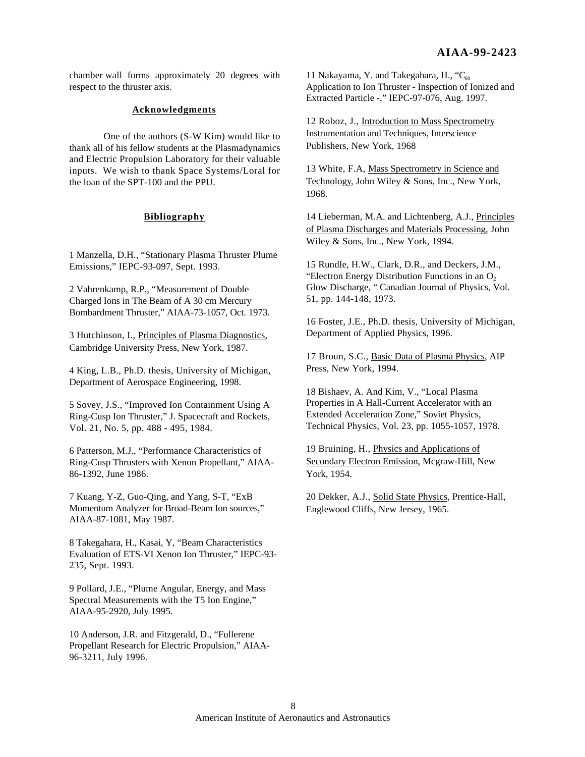chamber wall forms approximately 20 degrees with respect to the thruster axis.

# **Acknowledgments**

One of the authors (S-W Kim) would like to thank all of his fellow students at the Plasmadynamics and Electric Propulsion Laboratory for their valuable inputs. We wish to thank Space Systems/Loral for the loan of the SPT-100 and the PPU.

# **Bibliography**

1 Manzella, D.H., "Stationary Plasma Thruster Plume Emissions," IEPC-93-097, Sept. 1993.

2 Vahrenkamp, R.P., "Measurement of Double Charged Ions in The Beam of A 30 cm Mercury Bombardment Thruster," AIAA-73-1057, Oct. 1973.

3 Hutchinson, I., Principles of Plasma Diagnostics, Cambridge University Press, New York, 1987.

4 King, L.B., Ph.D. thesis, University of Michigan, Department of Aerospace Engineering, 1998.

5 Sovey, J.S., "Improved Ion Containment Using A Ring-Cusp Ion Thruster," J. Spacecraft and Rockets, Vol. 21, No. 5, pp. 488 - 495, 1984.

6 Patterson, M.J., "Performance Characteristics of Ring-Cusp Thrusters with Xenon Propellant," AIAA-86-1392, June 1986.

7 Kuang, Y-Z, Guo-Qing, and Yang, S-T, "ExB Momentum Analyzer for Broad-Beam Ion sources," AIAA-87-1081, May 1987.

8 Takegahara, H., Kasai, Y, "Beam Characteristics Evaluation of ETS-VI Xenon Ion Thruster," IEPC-93- 235, Sept. 1993.

9 Pollard, J.E., "Plume Angular, Energy, and Mass Spectral Measurements with the T5 Ion Engine," AIAA-95-2920, July 1995.

10 Anderson, J.R. and Fitzgerald, D., "Fullerene Propellant Research for Electric Propulsion," AIAA-96-3211, July 1996.

11 Nakayama, Y. and Takegahara, H., " $C_{60}$ Application to Ion Thruster - Inspection of Ionized and Extracted Particle -," IEPC-97-076, Aug. 1997.

12 Roboz, J., Introduction to Mass Spectrometry Instrumentation and Techniques, Interscience Publishers, New York, 1968

13 White, F.A, Mass Spectrometry in Science and Technology, John Wiley & Sons, Inc., New York, 1968.

14 Lieberman, M.A. and Lichtenberg, A.J., Principles of Plasma Discharges and Materials Processing, John Wiley & Sons, Inc., New York, 1994.

15 Rundle, H.W., Clark, D.R., and Deckers, J.M., "Electron Energy Distribution Functions in an  $O<sub>2</sub>$ Glow Discharge, " Canadian Journal of Physics, Vol. 51, pp. 144-148, 1973.

16 Foster, J.E., Ph.D. thesis, University of Michigan, Department of Applied Physics, 1996.

17 Broun, S.C., Basic Data of Plasma Physics, AIP Press, New York, 1994.

18 Bishaev, A. And Kim, V., "Local Plasma Properties in A Hall-Current Accelerator with an Extended Acceleration Zone," Soviet Physics, Technical Physics, Vol. 23, pp. 1055-1057, 1978.

19 Bruining, H., Physics and Applications of Secondary Electron Emission, Mcgraw-Hill, New York, 1954.

20 Dekker, A.J., Solid State Physics , Prentice-Hall, Englewood Cliffs, New Jersey, 1965.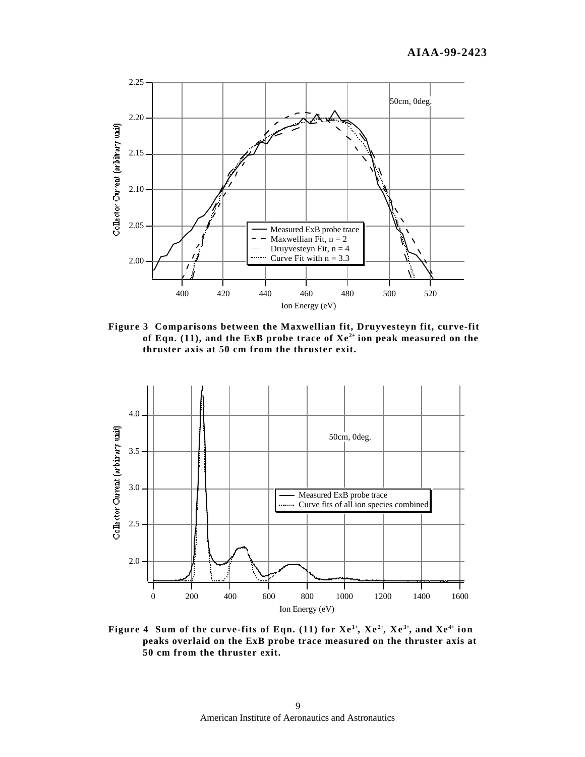

**Figure 3 Comparisons between the Maxwellian fit, Druyvesteyn fit, curve-fit of Eqn. (11), and the ExB probe trace of Xe2+ ion peak measured on the thruster axis at 50 cm from the thruster exit.**



Figure 4 Sum of the curve-fits of Eqn. (11) for  $Xe^{1+}$ ,  $Xe^{2+}$ ,  $Xe^{3+}$ , and  $Xe^{4+}$  ion **peaks overlaid on the ExB probe trace measured on the thruster axis at 50 cm from the thruster exit.**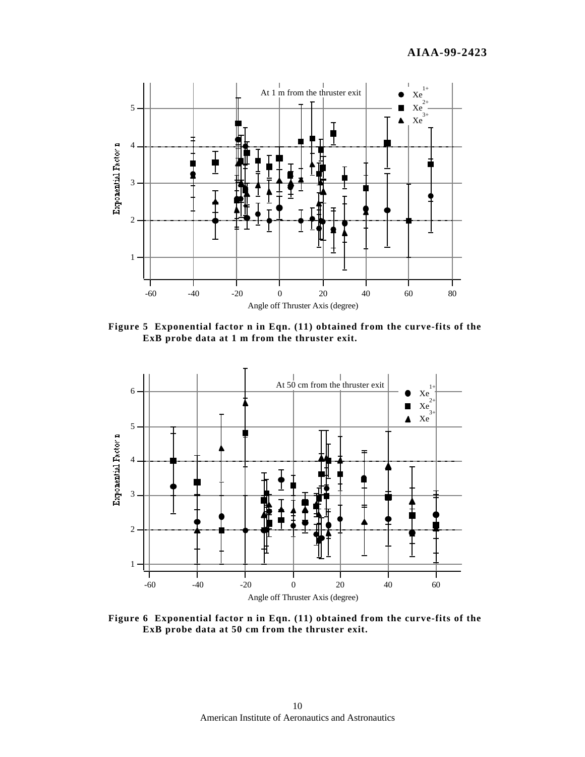

**Figure 5 Exponential factor n in Eqn. (11) obtained from the curve-fits of the ExB probe data at 1 m from the thruster exit.**



**Figure 6 Exponential factor n in Eqn. (11) obtained from the curve-fits of the ExB probe data at 50 cm from the thruster exit.**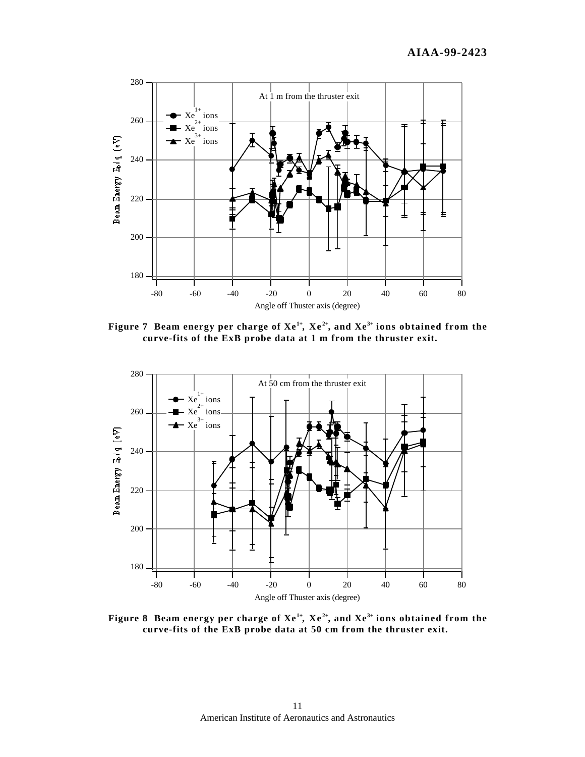

**Figure 7 Beam energy per charge of Xe1+, Xe 2+, and Xe3+ ions obtained from the curve-fits of the ExB probe data at 1 m from the thruster exit.**



**Figure 8 Beam energy per charge of Xe1+, Xe 2+, and Xe3+ ions obtained from the curve-fits of the ExB probe data at 50 cm from the thruster exit.**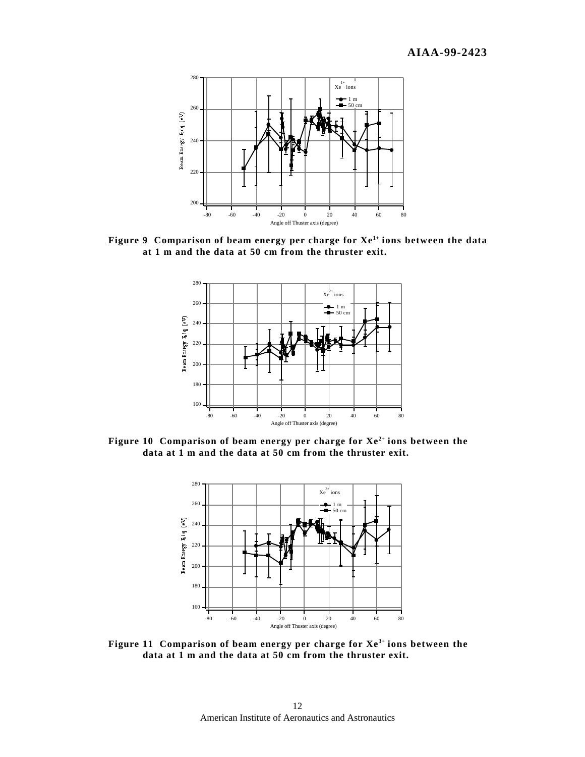

**Figure 9 Comparison of beam energy per charge for Xe1+ ions between the data at 1 m and the data at 50 cm from the thruster exit.**



**Figure 10 Comparison of beam energy per charge for Xe2+ ions between the data at 1 m and the data at 50 cm from the thruster exit.**



**Figure 11 Comparison of beam energy per charge for Xe3+ ions between the data at 1 m and the data at 50 cm from the thruster exit.**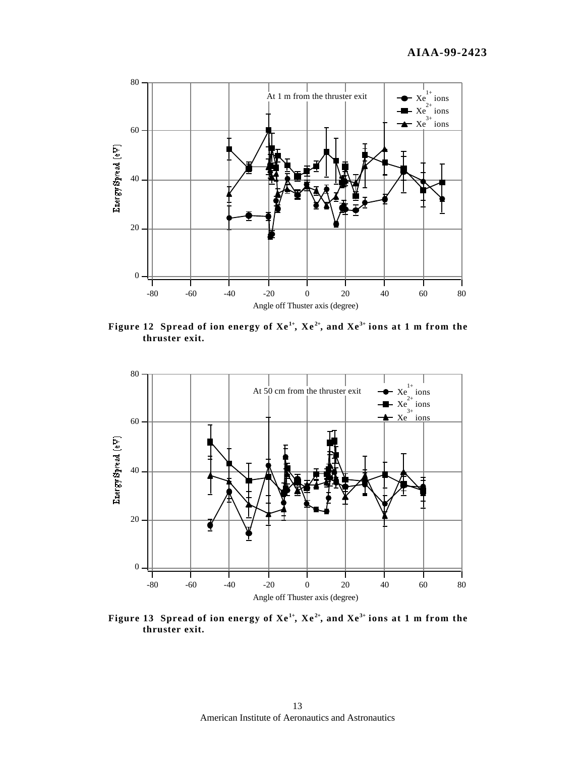

Figure 12 Spread of ion energy of  $Xe^{1+}$ ,  $Xe^{2+}$ , and  $Xe^{3+}$  ions at 1 m from the **thruster exit.**



Figure 13 Spread of ion energy of  $Xe^{1+}$ ,  $Xe^{2+}$ , and  $Xe^{3+}$  ions at 1 m from the **thruster exit.**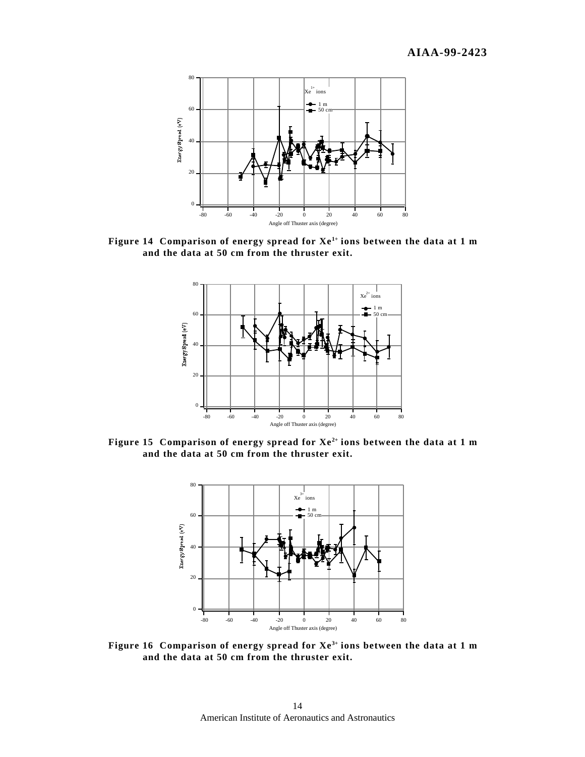

**Figure 14 Comparison of energy spread for Xe1+ ions between the data at 1 m and the data at 50 cm from the thruster exit.**



**Figure 15 Comparison of energy spread for Xe2+ ions between the data at 1 m and the data at 50 cm from the thruster exit.**



**Figure 16 Comparison of energy spread for Xe3+ ions between the data at 1 m and the data at 50 cm from the thruster exit.**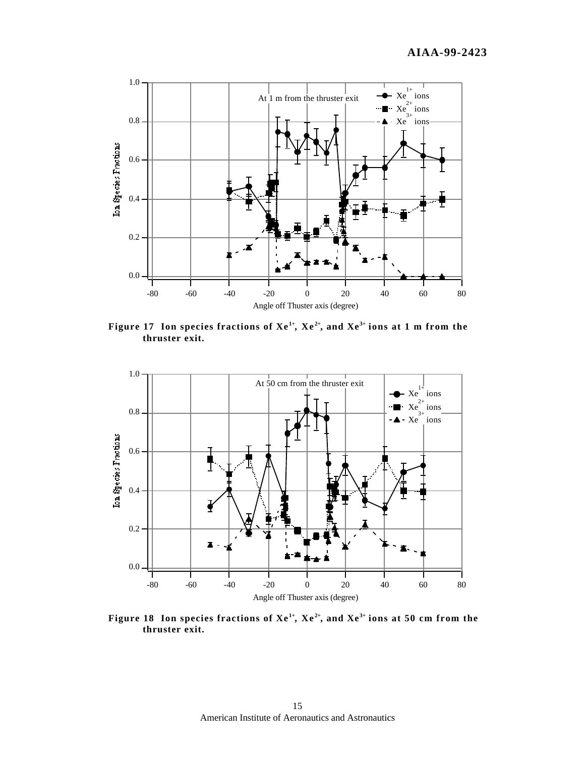

Figure 17 Ion species fractions of  $Xe^{1+}$ ,  $Xe^{2+}$ , and  $Xe^{3+}$  ions at 1 m from the **thruster exit.**



Figure 18 Ion species fractions of  $Xe^{1+}$ ,  $Xe^{2+}$ , and  $Xe^{3+}$  ions at 50 cm from the **thruster exit.**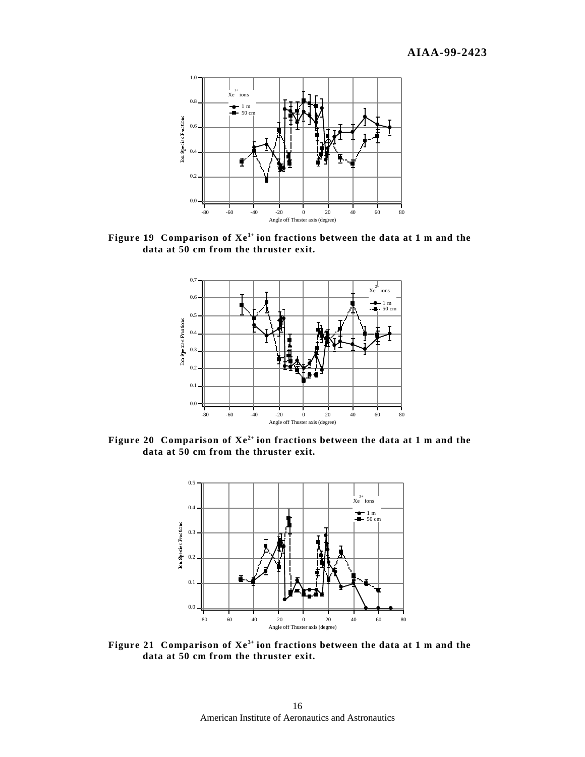

Figure 19 Comparison of  $Xe^{1+}$  ion fractions between the data at 1 m and the **data at 50 cm from the thruster exit.**



Figure 20 Comparison of  $Xe^{2+}$  ion fractions between the data at 1 m and the **data at 50 cm from the thruster exit.**



**Figure 21** Comparison of  $Xe^{3+}$  ion fractions between the data at 1 m and the **data at 50 cm from the thruster exit.**